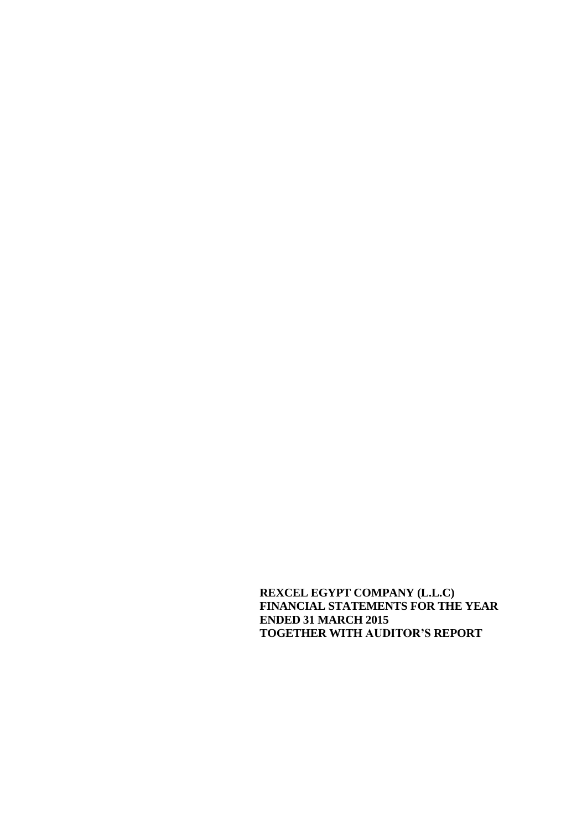**REXCEL EGYPT COMPANY (L.L.C) FINANCIAL STATEMENTS FOR THE YEAR ENDED 31 MARCH 2015 TOGETHER WITH AUDITOR'S REPORT**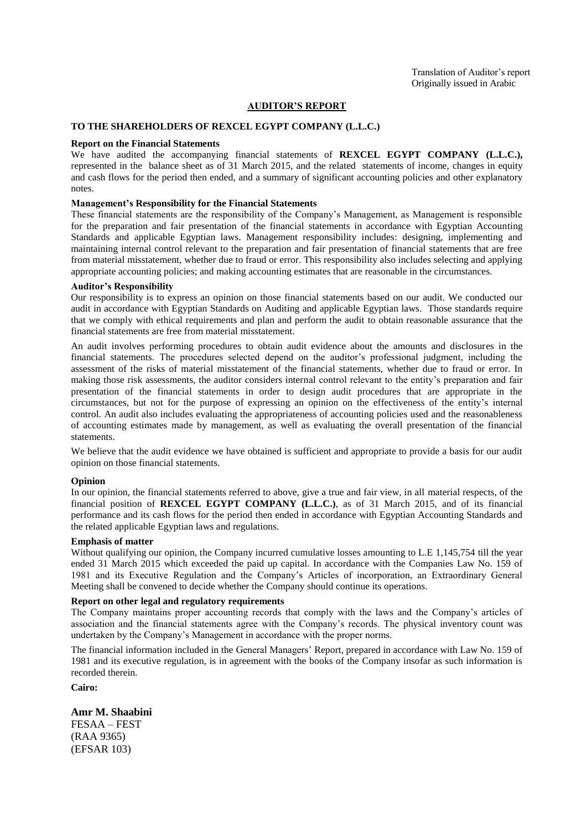#### **AUDITOR'S REPORT**

#### **TO THE SHAREHOLDERS OF REXCEL EGYPT COMPANY (L.L.C.)**

#### **Report on the Financial Statements**

We have audited the accompanying financial statements of **REXCEL EGYPT COMPANY (L.L.C.),** represented in the balance sheet as of 31 March 2015, and the related statements of income, changes in equity and cash flows for the period then ended, and a summary of significant accounting policies and other explanatory notes.

#### **Management's Responsibility for the Financial Statements**

These financial statements are the responsibility of the Company's Management, as Management is responsible for the preparation and fair presentation of the financial statements in accordance with Egyptian Accounting Standards and applicable Egyptian laws. Management responsibility includes: designing, implementing and maintaining internal control relevant to the preparation and fair presentation of financial statements that are free from material misstatement, whether due to fraud or error. This responsibility also includes selecting and applying appropriate accounting policies; and making accounting estimates that are reasonable in the circumstances.

#### **Auditor's Responsibility**

Our responsibility is to express an opinion on those financial statements based on our audit. We conducted our audit in accordance with Egyptian Standards on Auditing and applicable Egyptian laws. Those standards require that we comply with ethical requirements and plan and perform the audit to obtain reasonable assurance that the financial statements are free from material misstatement.

An audit involves performing procedures to obtain audit evidence about the amounts and disclosures in the financial statements. The procedures selected depend on the auditor's professional judgment, including the assessment of the risks of material misstatement of the financial statements, whether due to fraud or error. In making those risk assessments, the auditor considers internal control relevant to the entity's preparation and fair presentation of the financial statements in order to design audit procedures that are appropriate in the circumstances, but not for the purpose of expressing an opinion on the effectiveness of the entity's internal control. An audit also includes evaluating the appropriateness of accounting policies used and the reasonableness of accounting estimates made by management, as well as evaluating the overall presentation of the financial statements.

We believe that the audit evidence we have obtained is sufficient and appropriate to provide a basis for our audit opinion on those financial statements.

#### **Opinion**

In our opinion, the financial statements referred to above, give a true and fair view, in all material respects, of the financial position of **REXCEL EGYPT COMPANY (L.L.C.)**, as of 31 March 2015, and of its financial performance and its cash flows for the period then ended in accordance with Egyptian Accounting Standards and the related applicable Egyptian laws and regulations.

#### **Emphasis of matter**

Without qualifying our opinion, the Company incurred cumulative losses amounting to L.E 1,145,754 till the year ended 31 March 2015 which exceeded the paid up capital. In accordance with the Companies Law No. 159 of 1981 and its Executive Regulation and the Company's Articles of incorporation, an Extraordinary General Meeting shall be convened to decide whether the Company should continue its operations.

#### **Report on other legal and regulatory requirements**

The Company maintains proper accounting records that comply with the laws and the Company's articles of association and the financial statements agree with the Company's records. The physical inventory count was undertaken by the Company's Management in accordance with the proper norms.

The financial information included in the General Managers' Report, prepared in accordance with Law No. 159 of 1981 and its executive regulation, is in agreement with the books of the Company insofar as such information is recorded therein.

**Cairo:**

**Amr M. Shaabini**

FESAA – FEST (RAA 9365) (EFSAR 103)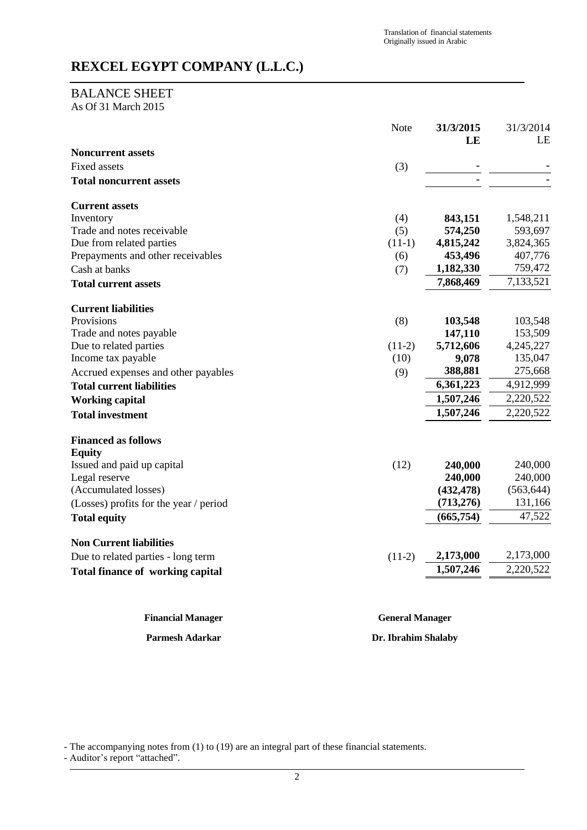## BALANCE SHEET

As Of 31 March 2015

|                                         | <b>Note</b> | 31/3/2015<br>LE | 31/3/2014<br>LE |
|-----------------------------------------|-------------|-----------------|-----------------|
| <b>Noncurrent assets</b>                |             |                 |                 |
| Fixed assets                            | (3)         |                 |                 |
| <b>Total noncurrent assets</b>          |             |                 |                 |
| <b>Current assets</b>                   |             |                 |                 |
| Inventory                               | (4)         | 843,151         | 1,548,211       |
| Trade and notes receivable              | (5)         | 574,250         | 593,697         |
| Due from related parties                | $(11-1)$    | 4,815,242       | 3,824,365       |
| Prepayments and other receivables       | (6)         | 453,496         | 407,776         |
| Cash at banks                           | (7)         | 1,182,330       | 759,472         |
| <b>Total current assets</b>             |             | 7,868,469       | 7,133,521       |
| <b>Current liabilities</b>              |             |                 |                 |
| Provisions                              | (8)         | 103,548         | 103,548         |
| Trade and notes payable                 |             | 147,110         | 153,509         |
| Due to related parties                  | $(11-2)$    | 5,712,606       | 4,245,227       |
| Income tax payable                      | (10)        | 9,078           | 135,047         |
| Accrued expenses and other payables     | (9)         | 388,881         | 275,668         |
| <b>Total current liabilities</b>        |             | 6,361,223       | 4,912,999       |
| <b>Working capital</b>                  |             | 1,507,246       | 2,220,522       |
| <b>Total investment</b>                 |             | 1,507,246       | 2,220,522       |
| <b>Financed as follows</b>              |             |                 |                 |
| <b>Equity</b>                           |             |                 |                 |
| Issued and paid up capital              | (12)        | 240,000         | 240,000         |
| Legal reserve                           |             | 240,000         | 240,000         |
| (Accumulated losses)                    |             | (432, 478)      | (563, 644)      |
| (Losses) profits for the year / period  |             | (713, 276)      | 131,166         |
| <b>Total equity</b>                     |             | (665, 754)      | 47,522          |
| <b>Non Current liabilities</b>          |             |                 |                 |
| Due to related parties - long term      | $(11-2)$    | 2,173,000       | 2,173,000       |
| <b>Total finance of working capital</b> |             | 1,507,246       | 2,220,522       |
|                                         |             |                 |                 |

**Financial Manager General Manager**

**Parmesh Adarkar Dr. Ibrahim Shalaby**

- The accompanying notes from (1) to (19) are an integral part of these financial statements.

- Auditor's report "attached".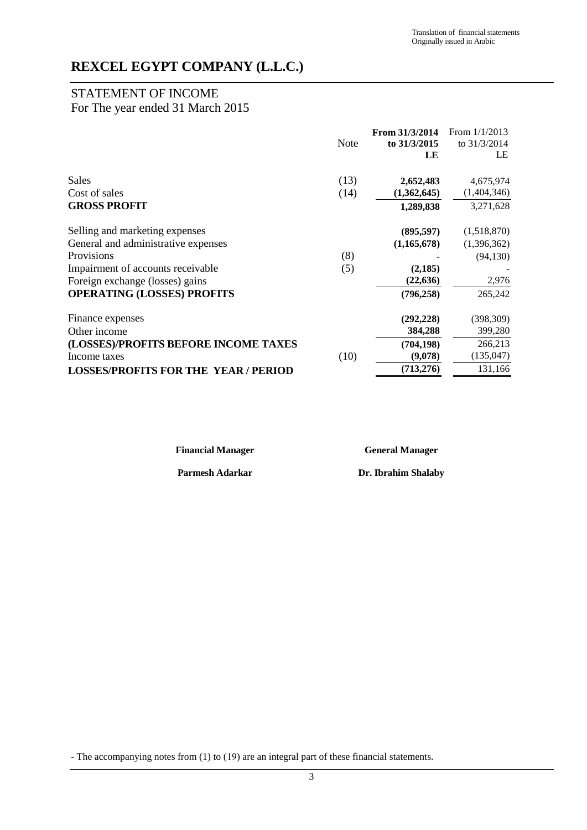## STATEMENT OF INCOME

## For The year ended 31 March 2015

|                                             |      | From 31/3/2014 | From $1/1/2013$ |
|---------------------------------------------|------|----------------|-----------------|
|                                             | Note | to 31/3/2015   | to 31/3/2014    |
|                                             |      | LE             | LE              |
| Sales                                       | (13) | 2,652,483      | 4,675,974       |
| Cost of sales                               | (14) | (1,362,645)    | (1,404,346)     |
| <b>GROSS PROFIT</b>                         |      | 1,289,838      | 3,271,628       |
| Selling and marketing expenses              |      | (895, 597)     | (1,518,870)     |
| General and administrative expenses         |      | (1,165,678)    | (1,396,362)     |
| <b>Provisions</b>                           | (8)  |                | (94, 130)       |
| Impairment of accounts receivable           | (5)  | (2,185)        |                 |
| Foreign exchange (losses) gains             |      | (22, 636)      | 2,976           |
| <b>OPERATING (LOSSES) PROFITS</b>           |      | (796, 258)     | 265,242         |
| Finance expenses                            |      | (292, 228)     | (398, 309)      |
| Other income                                |      | 384,288        | 399,280         |
| (LOSSES)/PROFITS BEFORE INCOME TAXES        |      | (704, 198)     | 266,213         |
| Income taxes                                | (10) | (9,078)        | (135, 047)      |
| <b>LOSSES/PROFITS FOR THE YEAR / PERIOD</b> |      | (713, 276)     | 131,166         |

**Financial Manager General Manager**

**Parmesh Adarkar Dr. Ibrahim Shalaby**

- The accompanying notes from (1) to (19) are an integral part of these financial statements.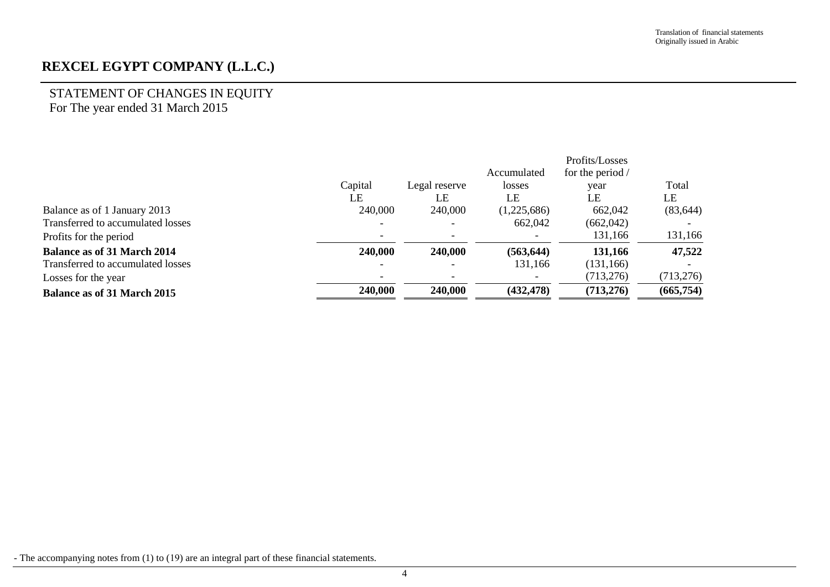## STATEMENT OF CHANGES IN EQUITY For The year ended 31 March 2015

|                                    |         |                |             | Profits/Losses   |            |
|------------------------------------|---------|----------------|-------------|------------------|------------|
|                                    |         |                | Accumulated | for the period / |            |
|                                    | Capital | Legal reserve  | losses      | year             | Total      |
|                                    | LE      | LE             | LE          | LE               | LE         |
| Balance as of 1 January 2013       | 240,000 | 240,000        | (1,225,686) | 662,042          | (83, 644)  |
| Transferred to accumulated losses  |         |                | 662,042     | (662, 042)       |            |
| Profits for the period             |         |                |             | 131,166          | 131,166    |
| <b>Balance as of 31 March 2014</b> | 240,000 | 240,000        | (563, 644)  | 131,166          | 47,522     |
| Transferred to accumulated losses  |         | $\blacksquare$ | 131,166     | (131, 166)       |            |
| Losses for the year                | -       |                |             | (713, 276)       | (713, 276) |
| <b>Balance as of 31 March 2015</b> | 240,000 | 240,000        | (432, 478)  | (713, 276)       | (665, 754) |

- The accompanying notes from (1) to (19) are an integral part of these financial statements.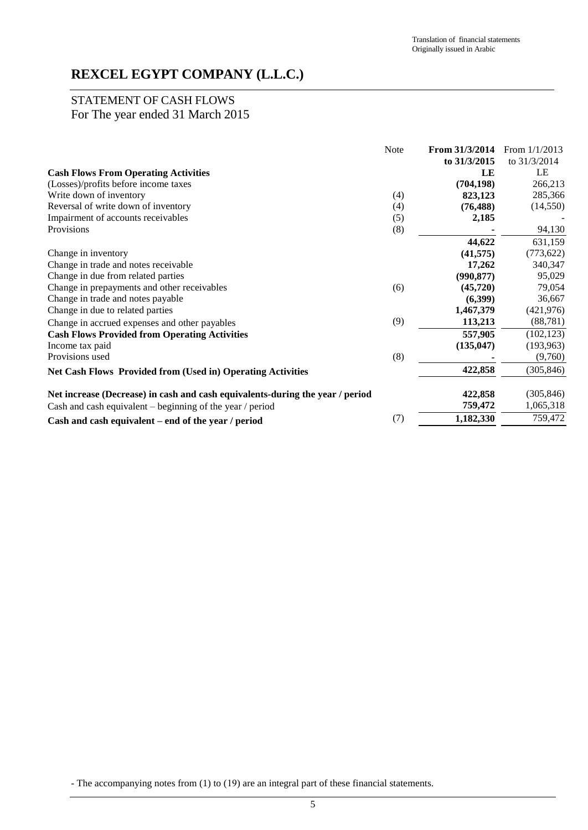## STATEMENT OF CASH FLOWS For The year ended 31 March 2015

|                                                                               | Note | From 31/3/2014 | From $1/1/2013$ |
|-------------------------------------------------------------------------------|------|----------------|-----------------|
|                                                                               |      | to 31/3/2015   | to 31/3/2014    |
| <b>Cash Flows From Operating Activities</b>                                   |      | LE             | LE              |
| (Losses)/profits before income taxes                                          |      | (704, 198)     | 266,213         |
| Write down of inventory                                                       | (4)  | 823,123        | 285,366         |
| Reversal of write down of inventory                                           | (4)  | (76, 488)      | (14, 550)       |
| Impairment of accounts receivables                                            | (5)  | 2,185          |                 |
| Provisions                                                                    | (8)  |                | 94,130          |
|                                                                               |      | 44,622         | 631,159         |
| Change in inventory                                                           |      | (41, 575)      | (773, 622)      |
| Change in trade and notes receivable                                          |      | 17,262         | 340,347         |
| Change in due from related parties                                            |      | (990, 877)     | 95,029          |
| Change in prepayments and other receivables                                   | (6)  | (45, 720)      | 79,054          |
| Change in trade and notes payable                                             |      | (6,399)        | 36,667          |
| Change in due to related parties                                              |      | 1,467,379      | (421, 976)      |
| Change in accrued expenses and other payables                                 | (9)  | 113,213        | (88, 781)       |
| <b>Cash Flows Provided from Operating Activities</b>                          |      | 557,905        | (102, 123)      |
| Income tax paid                                                               |      | (135, 047)     | (193, 963)      |
| Provisions used                                                               | (8)  |                | (9,760)         |
| <b>Net Cash Flows Provided from (Used in) Operating Activities</b>            |      | 422,858        | (305, 846)      |
| Net increase (Decrease) in cash and cash equivalents-during the year / period |      | 422,858        | (305, 846)      |
| Cash and cash equivalent – beginning of the year / period                     |      | 759,472        | 1,065,318       |
| Cash and cash equivalent – end of the year / period                           | (7)  | 1,182,330      | 759,472         |

- The accompanying notes from (1) to (19) are an integral part of these financial statements.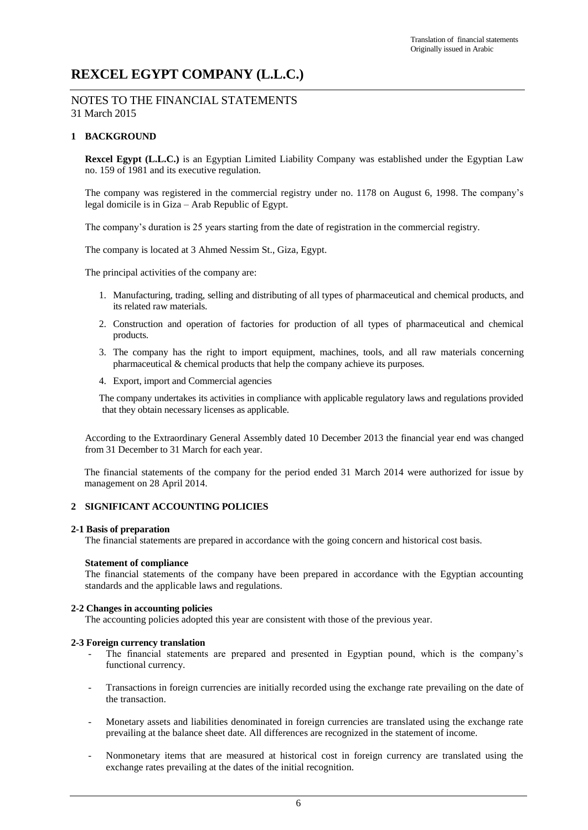NOTES TO THE FINANCIAL STATEMENTS 31 March 2015

#### **1 BACKGROUND**

**Rexcel Egypt (L.L.C.)** is an Egyptian Limited Liability Company was established under the Egyptian Law no. 159 of 1981 and its executive regulation.

The company was registered in the commercial registry under no. 1178 on August 6, 1998. The company's legal domicile is in Giza – Arab Republic of Egypt.

The company's duration is 25 years starting from the date of registration in the commercial registry.

The company is located at 3 Ahmed Nessim St., Giza, Egypt.

The principal activities of the company are:

- 1. Manufacturing, trading, selling and distributing of all types of pharmaceutical and chemical products, and its related raw materials.
- 2. Construction and operation of factories for production of all types of pharmaceutical and chemical products.
- 3. The company has the right to import equipment, machines, tools, and all raw materials concerning pharmaceutical & chemical products that help the company achieve its purposes.
- 4. Export, import and Commercial agencies

The company undertakes its activities in compliance with applicable regulatory laws and regulations provided that they obtain necessary licenses as applicable.

According to the Extraordinary General Assembly dated 10 December 2013 the financial year end was changed from 31 December to 31 March for each year.

The financial statements of the company for the period ended 31 March 2014 were authorized for issue by management on 28 April 2014.

#### **2 SIGNIFICANT ACCOUNTING POLICIES**

#### **2-1 Basis of preparation**

The financial statements are prepared in accordance with the going concern and historical cost basis.

#### **Statement of compliance**

The financial statements of the company have been prepared in accordance with the Egyptian accounting standards and the applicable laws and regulations.

#### **2-2 Changes in accounting policies**

The accounting policies adopted this year are consistent with those of the previous year.

#### **2-3 Foreign currency translation**

- The financial statements are prepared and presented in Egyptian pound, which is the company's functional currency.
- Transactions in foreign currencies are initially recorded using the exchange rate prevailing on the date of the transaction.
- Monetary assets and liabilities denominated in foreign currencies are translated using the exchange rate prevailing at the balance sheet date. All differences are recognized in the statement of income.
- Nonmonetary items that are measured at historical cost in foreign currency are translated using the exchange rates prevailing at the dates of the initial recognition.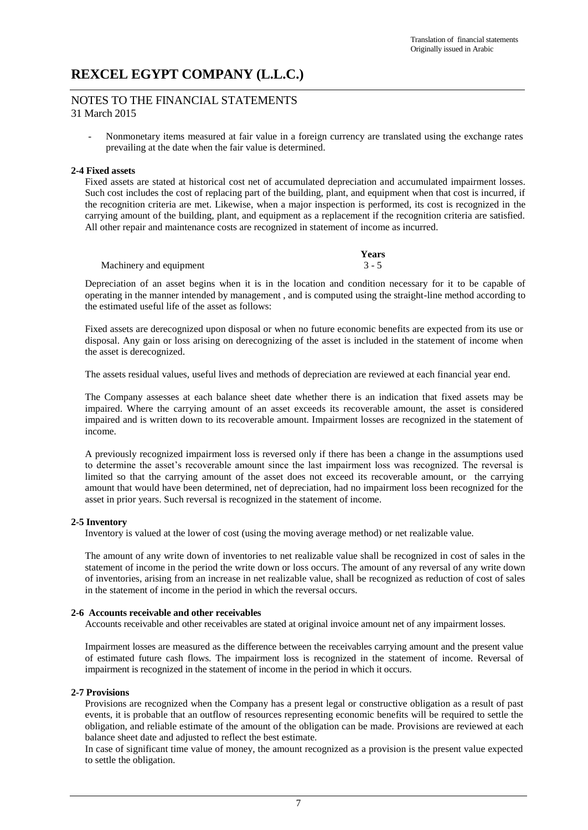#### NOTES TO THE FINANCIAL STATEMENTS 31 March 2015

- Nonmonetary items measured at fair value in a foreign currency are translated using the exchange rates prevailing at the date when the fair value is determined.

#### **2-4 Fixed assets**

Fixed assets are stated at historical cost net of accumulated depreciation and accumulated impairment losses. Such cost includes the cost of replacing part of the building, plant, and equipment when that cost is incurred, if the recognition criteria are met. Likewise, when a major inspection is performed, its cost is recognized in the carrying amount of the building, plant, and equipment as a replacement if the recognition criteria are satisfied. All other repair and maintenance costs are recognized in statement of income as incurred.

|                         | Years   |
|-------------------------|---------|
| Machinery and equipment | $3 - 5$ |

Depreciation of an asset begins when it is in the location and condition necessary for it to be capable of operating in the manner intended by management , and is computed using the straight-line method according to the estimated useful life of the asset as follows:

Fixed assets are derecognized upon disposal or when no future economic benefits are expected from its use or disposal. Any gain or loss arising on derecognizing of the asset is included in the statement of income when the asset is derecognized.

The assets residual values, useful lives and methods of depreciation are reviewed at each financial year end.

The Company assesses at each balance sheet date whether there is an indication that fixed assets may be impaired. Where the carrying amount of an asset exceeds its recoverable amount, the asset is considered impaired and is written down to its recoverable amount. Impairment losses are recognized in the statement of income.

A previously recognized impairment loss is reversed only if there has been a change in the assumptions used to determine the asset's recoverable amount since the last impairment loss was recognized. The reversal is limited so that the carrying amount of the asset does not exceed its recoverable amount, or the carrying amount that would have been determined, net of depreciation, had no impairment loss been recognized for the asset in prior years. Such reversal is recognized in the statement of income.

#### **2-5 Inventory**

Inventory is valued at the lower of cost (using the moving average method) or net realizable value.

The amount of any write down of inventories to net realizable value shall be recognized in cost of sales in the statement of income in the period the write down or loss occurs. The amount of any reversal of any write down of inventories, arising from an increase in net realizable value, shall be recognized as reduction of cost of sales in the statement of income in the period in which the reversal occurs.

#### **2-6 Accounts receivable and other receivables**

Accounts receivable and other receivables are stated at original invoice amount net of any impairment losses.

Impairment losses are measured as the difference between the receivables carrying amount and the present value of estimated future cash flows. The impairment loss is recognized in the statement of income. Reversal of impairment is recognized in the statement of income in the period in which it occurs.

#### **2-7 Provisions**

Provisions are recognized when the Company has a present legal or constructive obligation as a result of past events, it is probable that an outflow of resources representing economic benefits will be required to settle the obligation, and reliable estimate of the amount of the obligation can be made. Provisions are reviewed at each balance sheet date and adjusted to reflect the best estimate.

In case of significant time value of money, the amount recognized as a provision is the present value expected to settle the obligation.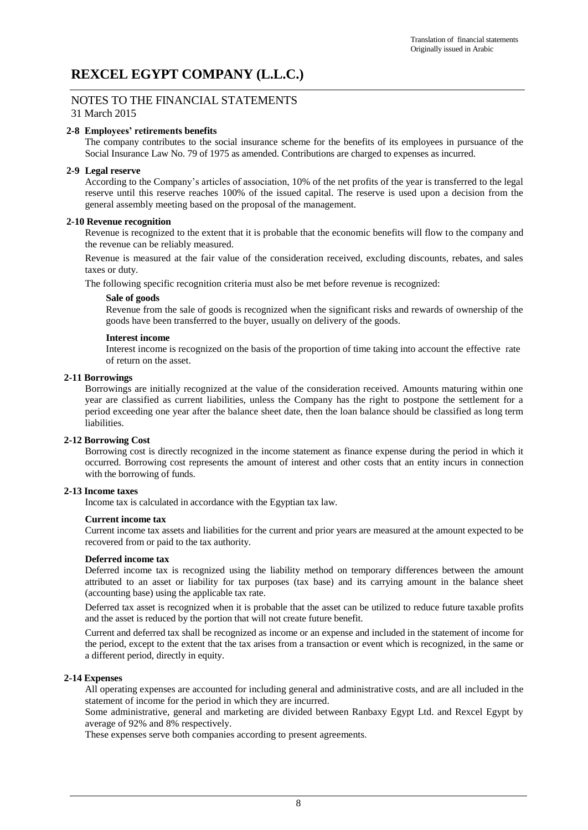## NOTES TO THE FINANCIAL STATEMENTS

31 March 2015

#### **2-8 Employees' retirements benefits**

The company contributes to the social insurance scheme for the benefits of its employees in pursuance of the Social Insurance Law No. 79 of 1975 as amended. Contributions are charged to expenses as incurred.

#### **2-9 Legal reserve**

According to the Company's articles of association, 10% of the net profits of the year is transferred to the legal reserve until this reserve reaches 100% of the issued capital. The reserve is used upon a decision from the general assembly meeting based on the proposal of the management.

#### **2-10 Revenue recognition**

Revenue is recognized to the extent that it is probable that the economic benefits will flow to the company and the revenue can be reliably measured.

Revenue is measured at the fair value of the consideration received, excluding discounts, rebates, and sales taxes or duty.

The following specific recognition criteria must also be met before revenue is recognized:

#### **Sale of goods**

Revenue from the sale of goods is recognized when the significant risks and rewards of ownership of the goods have been transferred to the buyer, usually on delivery of the goods.

#### **Interest income**

Interest income is recognized on the basis of the proportion of time taking into account the effective rate of return on the asset.

#### **2-11 Borrowings**

Borrowings are initially recognized at the value of the consideration received. Amounts maturing within one year are classified as current liabilities, unless the Company has the right to postpone the settlement for a period exceeding one year after the balance sheet date, then the loan balance should be classified as long term liabilities.

#### **2-12 Borrowing Cost**

Borrowing cost is directly recognized in the income statement as finance expense during the period in which it occurred. Borrowing cost represents the amount of interest and other costs that an entity incurs in connection with the borrowing of funds.

#### **2-13 Income taxes**

Income tax is calculated in accordance with the Egyptian tax law.

#### **Current income tax**

Current income tax assets and liabilities for the current and prior years are measured at the amount expected to be recovered from or paid to the tax authority.

#### **Deferred income tax**

Deferred income tax is recognized using the liability method on temporary differences between the amount attributed to an asset or liability for tax purposes (tax base) and its carrying amount in the balance sheet (accounting base) using the applicable tax rate.

Deferred tax asset is recognized when it is probable that the asset can be utilized to reduce future taxable profits and the asset is reduced by the portion that will not create future benefit.

Current and deferred tax shall be recognized as income or an expense and included in the statement of income for the period, except to the extent that the tax arises from a transaction or event which is recognized, in the same or a different period, directly in equity.

#### **2-14 Expenses**

All operating expenses are accounted for including general and administrative costs, and are all included in the statement of income for the period in which they are incurred.

Some administrative, general and marketing are divided between Ranbaxy Egypt Ltd. and Rexcel Egypt by average of 92% and 8% respectively.

These expenses serve both companies according to present agreements.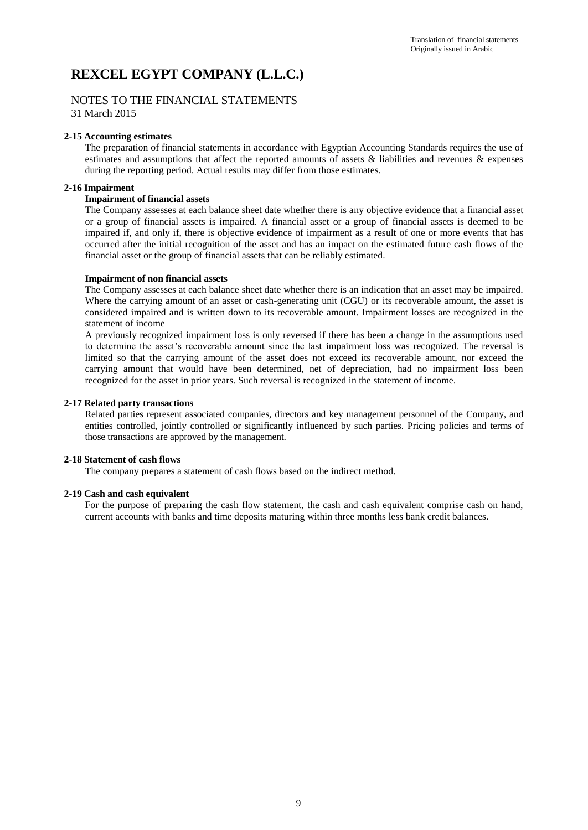#### NOTES TO THE FINANCIAL STATEMENTS 31 March 2015

#### **2-15 Accounting estimates**

The preparation of financial statements in accordance with Egyptian Accounting Standards requires the use of estimates and assumptions that affect the reported amounts of assets & liabilities and revenues & expenses during the reporting period. Actual results may differ from those estimates.

#### **2-16 Impairment**

#### **Impairment of financial assets**

The Company assesses at each balance sheet date whether there is any objective evidence that a financial asset or a group of financial assets is impaired. A financial asset or a group of financial assets is deemed to be impaired if, and only if, there is objective evidence of impairment as a result of one or more events that has occurred after the initial recognition of the asset and has an impact on the estimated future cash flows of the financial asset or the group of financial assets that can be reliably estimated.

#### **Impairment of non financial assets**

The Company assesses at each balance sheet date whether there is an indication that an asset may be impaired. Where the carrying amount of an asset or cash-generating unit (CGU) or its recoverable amount, the asset is considered impaired and is written down to its recoverable amount. Impairment losses are recognized in the statement of income

A previously recognized impairment loss is only reversed if there has been a change in the assumptions used to determine the asset's recoverable amount since the last impairment loss was recognized. The reversal is limited so that the carrying amount of the asset does not exceed its recoverable amount, nor exceed the carrying amount that would have been determined, net of depreciation, had no impairment loss been recognized for the asset in prior years. Such reversal is recognized in the statement of income.

#### **2-17 Related party transactions**

Related parties represent associated companies, directors and key management personnel of the Company, and entities controlled, jointly controlled or significantly influenced by such parties. Pricing policies and terms of those transactions are approved by the management.

#### **2-18 Statement of cash flows**

The company prepares a statement of cash flows based on the indirect method.

#### **2-19 Cash and cash equivalent**

For the purpose of preparing the cash flow statement, the cash and cash equivalent comprise cash on hand, current accounts with banks and time deposits maturing within three months less bank credit balances.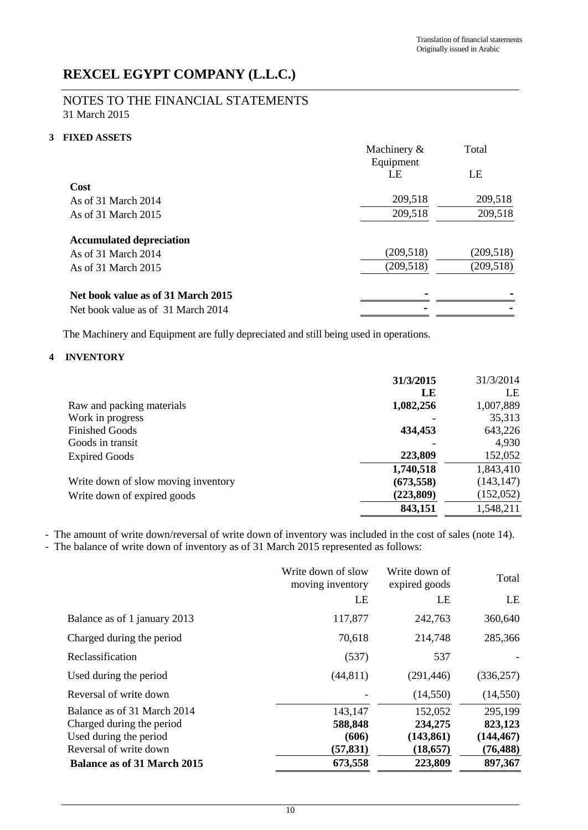## NOTES TO THE FINANCIAL STATEMENTS 31 March 2015

## **3 FIXED ASSETS**

|                                    | Machinery &<br>Equipment | Total      |
|------------------------------------|--------------------------|------------|
|                                    | LE                       | LE         |
| Cost                               |                          |            |
| As of 31 March 2014                | 209,518                  | 209,518    |
| As of 31 March 2015                | 209,518                  | 209,518    |
| <b>Accumulated depreciation</b>    |                          |            |
| As of 31 March 2014                | (209, 518)               | (209, 518) |
| As of 31 March 2015                | (209, 518)               | (209, 518) |
| Net book value as of 31 March 2015 |                          |            |
| Net book value as of 31 March 2014 |                          |            |

The Machinery and Equipment are fully depreciated and still being used in operations.

## **4 INVENTORY**

|                                     | 31/3/2015  | 31/3/2014  |
|-------------------------------------|------------|------------|
|                                     | LE         | LE         |
| Raw and packing materials           | 1,082,256  | 1,007,889  |
| Work in progress                    |            | 35,313     |
| <b>Finished Goods</b>               | 434,453    | 643,226    |
| Goods in transit                    |            | 4,930      |
| <b>Expired Goods</b>                | 223,809    | 152,052    |
|                                     | 1,740,518  | 1,843,410  |
| Write down of slow moving inventory | (673, 558) | (143, 147) |
| Write down of expired goods         | (223, 809) | (152, 052) |
|                                     | 843,151    | 1,548,211  |

- The amount of write down/reversal of write down of inventory was included in the cost of sales (note 14).

- The balance of write down of inventory as of 31 March 2015 represented as follows:

|                                                                                                                                                    | Write down of slow<br>moving inventory              | Write down of<br>expired goods                           | Total                                                    |
|----------------------------------------------------------------------------------------------------------------------------------------------------|-----------------------------------------------------|----------------------------------------------------------|----------------------------------------------------------|
|                                                                                                                                                    | LE                                                  | LE                                                       | LE                                                       |
| Balance as of 1 january 2013                                                                                                                       | 117,877                                             | 242,763                                                  | 360,640                                                  |
| Charged during the period                                                                                                                          | 70,618                                              | 214,748                                                  | 285,366                                                  |
| Reclassification                                                                                                                                   | (537)                                               | 537                                                      |                                                          |
| Used during the period                                                                                                                             | (44, 811)                                           | (291, 446)                                               | (336, 257)                                               |
| Reversal of write down                                                                                                                             |                                                     | (14,550)                                                 | (14, 550)                                                |
| Balance as of 31 March 2014<br>Charged during the period<br>Used during the period<br>Reversal of write down<br><b>Balance as of 31 March 2015</b> | 143,147<br>588,848<br>(606)<br>(57, 831)<br>673,558 | 152,052<br>234,275<br>(143, 861)<br>(18, 657)<br>223,809 | 295,199<br>823,123<br>(144, 467)<br>(76, 488)<br>897,367 |
|                                                                                                                                                    |                                                     |                                                          |                                                          |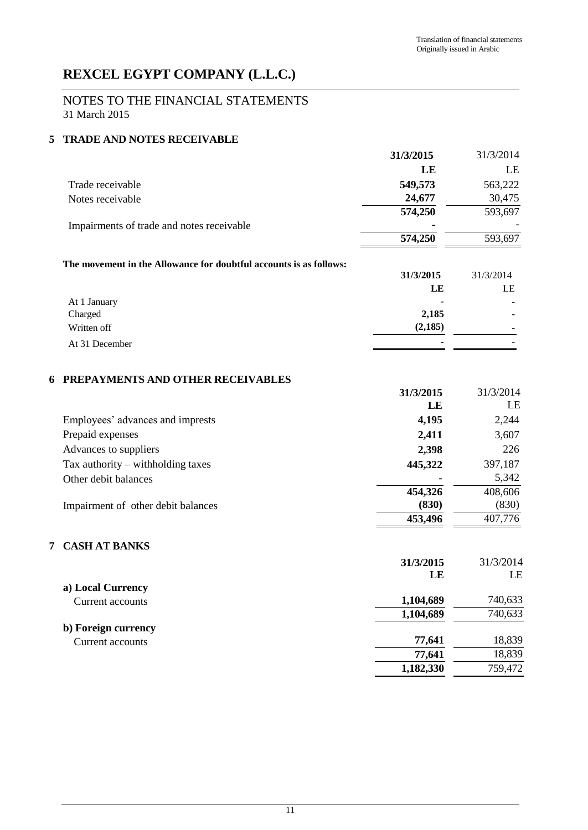## NOTES TO THE FINANCIAL STATEMENTS 31 March 2015

## **5 TRADE AND NOTES RECEIVABLE**

|                                           | 31/3/2015 | 31/3/2014 |
|-------------------------------------------|-----------|-----------|
|                                           | LE        | LE        |
| Trade receivable                          | 549,573   | 563,222   |
| Notes receivable                          | 24,677    | 30,475    |
|                                           | 574,250   | 593,697   |
| Impairments of trade and notes receivable | ۰         |           |
|                                           | 574,250   | 593,697   |

### **The movement in the Allowance for doubtful accounts is as follows:**

|                | 31/3/2015 | 31/3/2014                |
|----------------|-----------|--------------------------|
|                | LE        | LE                       |
| At 1 January   | ۰         | ۰.                       |
| Charged        | 2,185     | ۰.                       |
| Written off    | (2,185)   | $\overline{\phantom{0}}$ |
| At 31 December | ٠         |                          |

## **6 PREPAYMENTS AND OTHER RECEIVABLES**

|                                     | 31/3/2015 | 31/3/2014 |
|-------------------------------------|-----------|-----------|
|                                     | LE        | LE        |
| Employees' advances and imprests    | 4,195     | 2,244     |
| Prepaid expenses                    | 2,411     | 3,607     |
| Advances to suppliers               | 2,398     | 226       |
| Tax authority $-$ withholding taxes | 445,322   | 397,187   |
| Other debit balances                |           | 5,342     |
|                                     | 454,326   | 408,606   |
| Impairment of other debit balances  | (830)     | (830)     |
|                                     | 453,496   | 407,776   |

## **7 CASH AT BANKS**

|                     | 31/3/2015 | 31/3/2014 |
|---------------------|-----------|-----------|
|                     | LE        | LE        |
| a) Local Currency   |           |           |
| Current accounts    | 1,104,689 | 740,633   |
|                     | 1,104,689 | 740,633   |
| b) Foreign currency |           |           |
| Current accounts    | 77,641    | 18,839    |
|                     | 77,641    | 18,839    |
|                     | 1,182,330 | 759,472   |
|                     |           |           |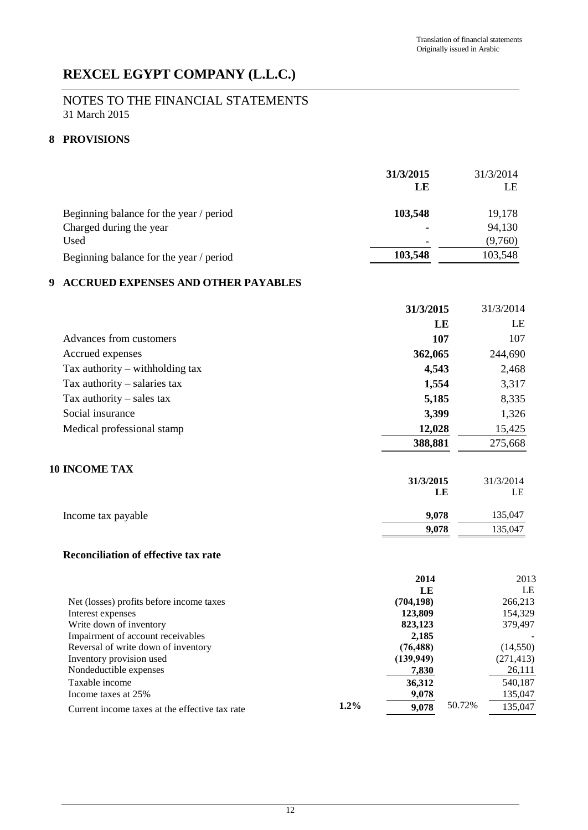## NOTES TO THE FINANCIAL STATEMENTS 31 March 2015

## **8 PROVISIONS**

|                                         | 31/3/2015<br>LE | 31/3/2014<br>LE |
|-----------------------------------------|-----------------|-----------------|
| Beginning balance for the year / period | 103,548         | 19,178          |
| Charged during the year                 |                 | 94,130          |
| Used                                    | -               | (9,760)         |
| Beginning balance for the year / period | 103,548         | 103,548         |

## **9 ACCRUED EXPENSES AND OTHER PAYABLES**

|                                             | 31/3/2015 | 31/3/2014 |
|---------------------------------------------|-----------|-----------|
|                                             | LE        | LE        |
| Advances from customers                     | 107       | 107       |
| Accrued expenses                            | 362,065   | 244,690   |
| Tax authority $-$ withholding tax           | 4,543     | 2,468     |
| Tax authority $-$ salaries tax              | 1,554     | 3,317     |
| Tax authority $-$ sales tax                 | 5,185     | 8,335     |
| Social insurance                            | 3,399     | 1,326     |
| Medical professional stamp                  | 12,028    | 15,425    |
|                                             | 388,881   | 275,668   |
| <b>10 INCOME TAX</b>                        |           |           |
|                                             | 31/3/2015 | 31/3/2014 |
|                                             | LE        | LE        |
| Income tax payable                          | 9,078     | 135,047   |
|                                             | 9,078     | 135,047   |
| <b>Reconciliation of effective tax rate</b> |           |           |
|                                             | 2014      | 2013      |

|         | - - -      |        | 201J       |
|---------|------------|--------|------------|
|         | LE         |        | LE         |
|         | (704, 198) |        | 266,213    |
|         | 123,809    |        | 154,329    |
|         | 823,123    |        | 379,497    |
|         | 2,185      |        |            |
|         | (76, 488)  |        | (14, 550)  |
|         | (139,949)  |        | (271, 413) |
|         | 7,830      |        | 26,111     |
|         | 36,312     |        | 540,187    |
|         | 9,078      |        | 135,047    |
| $1.2\%$ | 9.078      | 50.72% | 135,047    |
|         |            |        |            |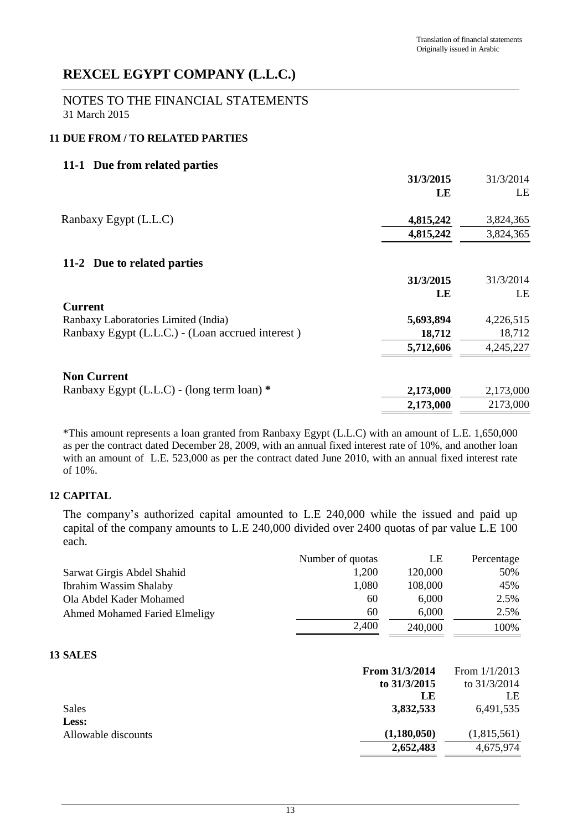NOTES TO THE FINANCIAL STATEMENTS 31 March 2015

## **11 DUE FROM / TO RELATED PARTIES**

## **11-1 Due from related parties**

|                                                  | 31/3/2015 | 31/3/2014 |
|--------------------------------------------------|-----------|-----------|
|                                                  | LE        | LE        |
| Ranbaxy Egypt (L.L.C)                            | 4,815,242 | 3,824,365 |
|                                                  | 4,815,242 | 3,824,365 |
| 11-2 Due to related parties                      |           |           |
|                                                  | 31/3/2015 | 31/3/2014 |
|                                                  | LE        | LE        |
| <b>Current</b>                                   |           |           |
| Ranbaxy Laboratories Limited (India)             | 5,693,894 | 4,226,515 |
| Ranbaxy Egypt (L.L.C.) - (Loan accrued interest) | 18,712    | 18,712    |
|                                                  | 5,712,606 | 4,245,227 |
| <b>Non Current</b>                               |           |           |
| Ranbaxy Egypt (L.L.C) - (long term loan) *       | 2,173,000 | 2,173,000 |
|                                                  | 2,173,000 | 2173,000  |
|                                                  |           |           |

\*This amount represents a loan granted from Ranbaxy Egypt (L.L.C) with an amount of L.E. 1,650,000 as per the contract dated December 28, 2009, with an annual fixed interest rate of 10%, and another loan with an amount of L.E. 523,000 as per the contract dated June 2010, with an annual fixed interest rate of 10%.

## **12 CAPITAL**

The company's authorized capital amounted to L.E 240,000 while the issued and paid up capital of the company amounts to L.E 240,000 divided over 2400 quotas of par value L.E 100 each.

|                                      | Number of quotas | LE      | Percentage |
|--------------------------------------|------------------|---------|------------|
| Sarwat Girgis Abdel Shahid           | 1,200            | 120,000 | 50%        |
| <b>Ibrahim Wassim Shalaby</b>        | 1,080            | 108,000 | 45%        |
| Ola Abdel Kader Mohamed              | 60               | 6,000   | 2.5%       |
| <b>Ahmed Mohamed Faried Elmeligy</b> | 60               | 6,000   | 2.5%       |
|                                      | 2,400            | 240,000 | 100%       |

### **13 SALES**

|                     | From 31/3/2014 | From $1/1/2013$ |
|---------------------|----------------|-----------------|
|                     | to $31/3/2015$ | to $31/3/2014$  |
|                     | LE             | LE              |
| Sales               | 3,832,533      | 6,491,535       |
| Less:               |                |                 |
| Allowable discounts | (1,180,050)    | (1,815,561)     |
|                     | 2,652,483      | 4,675,974       |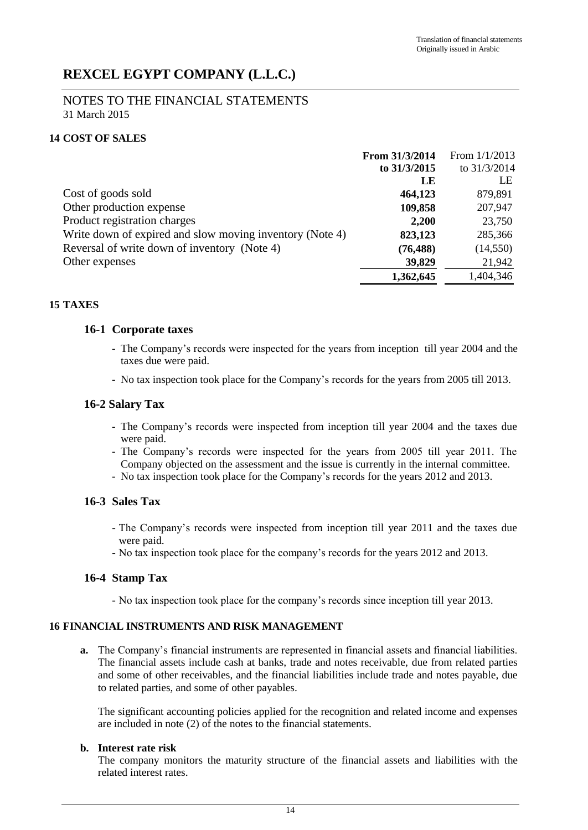### NOTES TO THE FINANCIAL STATEMENTS 31 March 2015

## **14 COST OF SALES**

|                                                          | From 31/3/2014 | From $1/1/2013$ |
|----------------------------------------------------------|----------------|-----------------|
|                                                          | to 31/3/2015   | to $31/3/2014$  |
|                                                          | LE             | LE              |
| Cost of goods sold                                       | 464,123        | 879,891         |
| Other production expense                                 | 109,858        | 207,947         |
| Product registration charges                             | 2,200          | 23,750          |
| Write down of expired and slow moving inventory (Note 4) | 823,123        | 285,366         |
| Reversal of write down of inventory (Note 4)             | (76, 488)      | (14, 550)       |
| Other expenses                                           | 39,829         | 21,942          |
|                                                          | 1,362,645      | 1,404,346       |

## **15 TAXES**

### **16-1 Corporate taxes**

- The Company's records were inspected for the years from inception till year 2004 and the taxes due were paid.
- No tax inspection took place for the Company's records for the years from 2005 till 2013.

## **16-2 Salary Tax**

- The Company's records were inspected from inception till year 2004 and the taxes due were paid.
- The Company's records were inspected for the years from 2005 till year 2011. The Company objected on the assessment and the issue is currently in the internal committee.
- No tax inspection took place for the Company's records for the years 2012 and 2013.

## **16-3 Sales Tax**

- The Company's records were inspected from inception till year 2011 and the taxes due were paid.
- No tax inspection took place for the company's records for the years 2012 and 2013.

## **16-4 Stamp Tax**

- No tax inspection took place for the company's records since inception till year 2013.

## **16 FINANCIAL INSTRUMENTS AND RISK MANAGEMENT**

**a.** The Company's financial instruments are represented in financial assets and financial liabilities. The financial assets include cash at banks, trade and notes receivable, due from related parties and some of other receivables, and the financial liabilities include trade and notes payable, due to related parties, and some of other payables.

The significant accounting policies applied for the recognition and related income and expenses are included in note (2) of the notes to the financial statements.

#### **b. Interest rate risk**

The company monitors the maturity structure of the financial assets and liabilities with the related interest rates.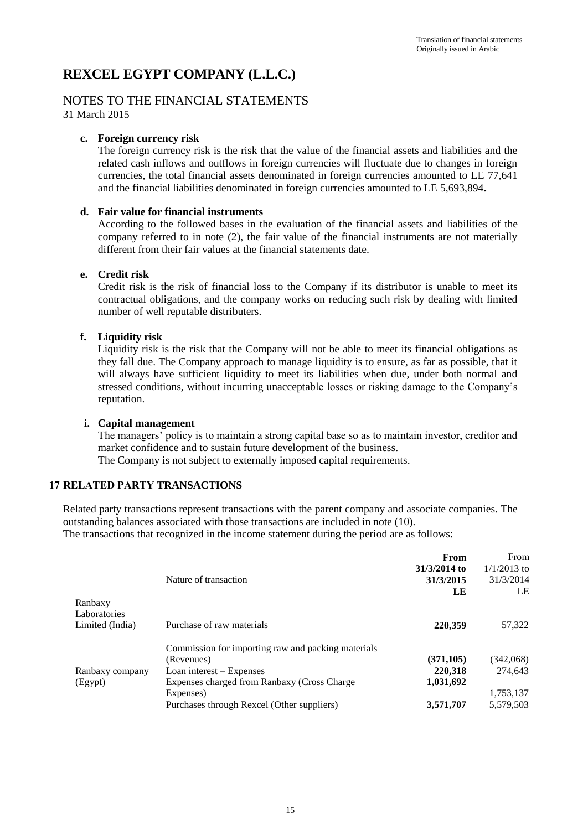## NOTES TO THE FINANCIAL STATEMENTS

31 March 2015

### **c. Foreign currency risk**

The foreign currency risk is the risk that the value of the financial assets and liabilities and the related cash inflows and outflows in foreign currencies will fluctuate due to changes in foreign currencies, the total financial assets denominated in foreign currencies amounted to LE 77,641 and the financial liabilities denominated in foreign currencies amounted to LE 5,693,894**.**

### **d. Fair value for financial instruments**

According to the followed bases in the evaluation of the financial assets and liabilities of the company referred to in note (2), the fair value of the financial instruments are not materially different from their fair values at the financial statements date.

### **e. Credit risk**

Credit risk is the risk of financial loss to the Company if its distributor is unable to meet its contractual obligations, and the company works on reducing such risk by dealing with limited number of well reputable distributers.

## **f. Liquidity risk**

Liquidity risk is the risk that the Company will not be able to meet its financial obligations as they fall due. The Company approach to manage liquidity is to ensure, as far as possible, that it will always have sufficient liquidity to meet its liabilities when due, under both normal and stressed conditions, without incurring unacceptable losses or risking damage to the Company's reputation.

#### **i. Capital management**

The managers' policy is to maintain a strong capital base so as to maintain investor, creditor and market confidence and to sustain future development of the business.

The Company is not subject to externally imposed capital requirements.

## **17 RELATED PARTY TRANSACTIONS**

Related party transactions represent transactions with the parent company and associate companies. The outstanding balances associated with those transactions are included in note (10).

The transactions that recognized in the income statement during the period are as follows:

|                 |                                                    | From         | From          |
|-----------------|----------------------------------------------------|--------------|---------------|
|                 |                                                    | 31/3/2014 to | $1/1/2013$ to |
|                 | Nature of transaction                              | 31/3/2015    | 31/3/2014     |
|                 |                                                    | LE           | LE            |
| Ranbaxy         |                                                    |              |               |
| Laboratories    |                                                    |              |               |
| Limited (India) | Purchase of raw materials                          | 220,359      | 57,322        |
|                 | Commission for importing raw and packing materials |              |               |
|                 | (Revenues)                                         | (371, 105)   | (342,068)     |
| Ranbaxy company | Loan interest $-$ Expenses                         | 220,318      | 274,643       |
| (Egypt)         | Expenses charged from Ranbaxy (Cross Charge        | 1,031,692    |               |
|                 | Expenses)                                          |              | 1,753,137     |
|                 | Purchases through Rexcel (Other suppliers)         | 3,571,707    | 5,579,503     |